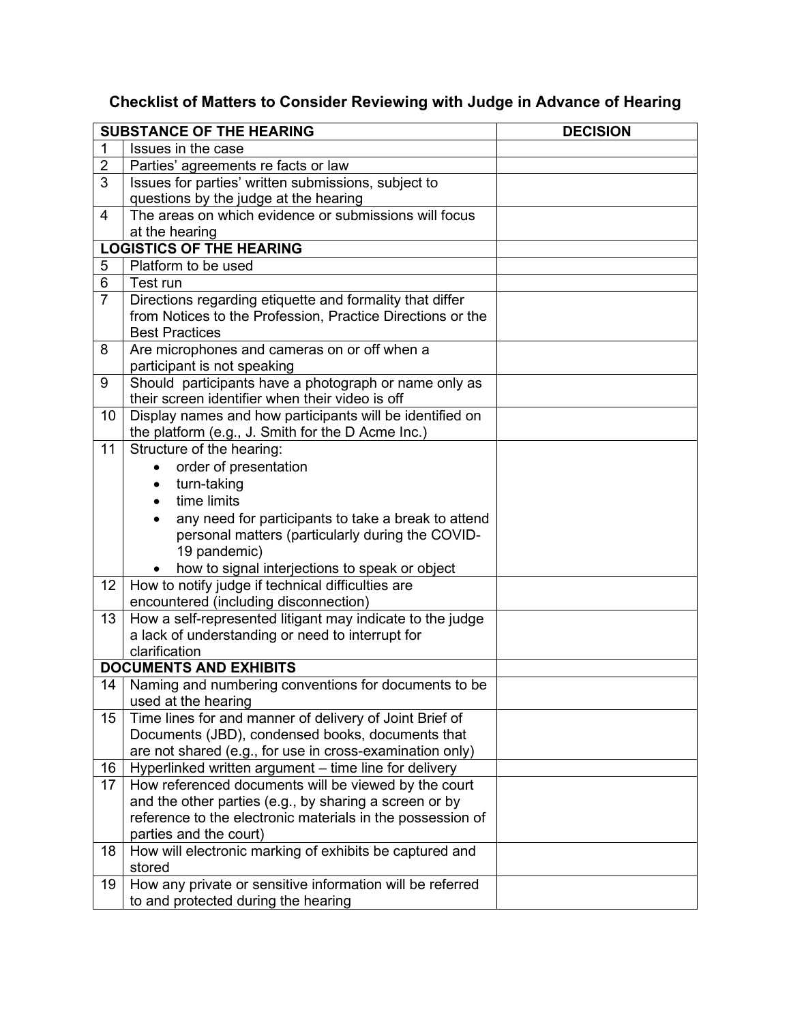## **Checklist of Matters to Consider Reviewing with Judge in Advance of Hearing**

| <b>SUBSTANCE OF THE HEARING</b> |                                                                                | <b>DECISION</b> |
|---------------------------------|--------------------------------------------------------------------------------|-----------------|
| 1                               | Issues in the case                                                             |                 |
| $\overline{2}$                  | Parties' agreements re facts or law                                            |                 |
| 3                               | Issues for parties' written submissions, subject to                            |                 |
|                                 | questions by the judge at the hearing                                          |                 |
| 4                               | The areas on which evidence or submissions will focus                          |                 |
|                                 | at the hearing                                                                 |                 |
|                                 | <b>LOGISTICS OF THE HEARING</b>                                                |                 |
| 5                               | Platform to be used                                                            |                 |
| 6                               | Test run                                                                       |                 |
| $\overline{7}$                  | Directions regarding etiquette and formality that differ                       |                 |
|                                 | from Notices to the Profession, Practice Directions or the                     |                 |
|                                 | <b>Best Practices</b>                                                          |                 |
| 8                               | Are microphones and cameras on or off when a                                   |                 |
|                                 | participant is not speaking                                                    |                 |
| 9                               | Should participants have a photograph or name only as                          |                 |
|                                 | their screen identifier when their video is off                                |                 |
| 10                              | Display names and how participants will be identified on                       |                 |
|                                 | the platform (e.g., J. Smith for the D Acme Inc.)                              |                 |
| 11                              | Structure of the hearing:                                                      |                 |
|                                 | order of presentation                                                          |                 |
|                                 | turn-taking<br>$\bullet$                                                       |                 |
|                                 | time limits<br>$\bullet$                                                       |                 |
|                                 | any need for participants to take a break to attend<br>$\bullet$               |                 |
|                                 | personal matters (particularly during the COVID-                               |                 |
|                                 | 19 pandemic)                                                                   |                 |
|                                 | how to signal interjections to speak or object                                 |                 |
| 12                              | How to notify judge if technical difficulties are                              |                 |
|                                 | encountered (including disconnection)                                          |                 |
| 13                              | How a self-represented litigant may indicate to the judge                      |                 |
|                                 | a lack of understanding or need to interrupt for                               |                 |
|                                 | clarification                                                                  |                 |
|                                 | <b>DOCUMENTS AND EXHIBITS</b>                                                  |                 |
| 14                              | Naming and numbering conventions for documents to be                           |                 |
| 15                              | used at the hearing<br>Time lines for and manner of delivery of Joint Brief of |                 |
|                                 | Documents (JBD), condensed books, documents that                               |                 |
|                                 | are not shared (e.g., for use in cross-examination only)                       |                 |
| 16                              | Hyperlinked written argument - time line for delivery                          |                 |
| 17                              | How referenced documents will be viewed by the court                           |                 |
|                                 | and the other parties (e.g., by sharing a screen or by                         |                 |
|                                 | reference to the electronic materials in the possession of                     |                 |
|                                 | parties and the court)                                                         |                 |
| 18                              | How will electronic marking of exhibits be captured and                        |                 |
|                                 | stored                                                                         |                 |
| 19                              | How any private or sensitive information will be referred                      |                 |
|                                 | to and protected during the hearing                                            |                 |